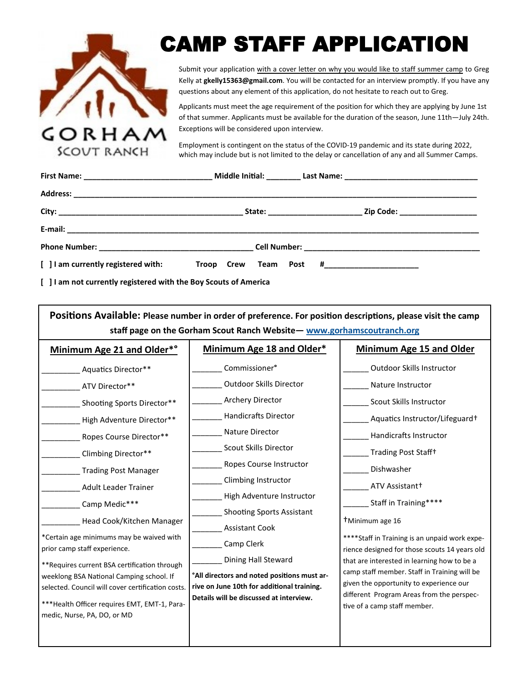

# CAMP STAFF APPLICATION

Submit your application with a cover letter on why you would like to staff summer camp to Greg Kelly at **gkelly15363@gmail.com**. You will be contacted for an interview promptly. If you have any questions about any element of this application, do not hesitate to reach out to Greg.

Applicants must meet the age requirement of the position for which they are applying by June 1st of that summer. Applicants must be available for the duration of the season, June 11th—July 24th. Exceptions will be considered upon interview.

Employment is contingent on the status of the COVID-19 pandemic and its state during 2022, which may include but is not limited to the delay or cancellation of any and all Summer Camps.

| [ ] I am currently registered with: | Troop Crew Team Post # |
|-------------------------------------|------------------------|

**[ ] I am not currently registered with the Boy Scouts of America**

| Positions Available: Please number in order of preference. For position descriptions, please visit the camp<br>staff page on the Gorham Scout Ranch Website - www.gorhamscoutranch.org                                                                                                                                                                                                        |                                                                                                                                                                                                                                                                                                         |                                                                                                                                                                                                                                                                                                                                                                                                      |  |
|-----------------------------------------------------------------------------------------------------------------------------------------------------------------------------------------------------------------------------------------------------------------------------------------------------------------------------------------------------------------------------------------------|---------------------------------------------------------------------------------------------------------------------------------------------------------------------------------------------------------------------------------------------------------------------------------------------------------|------------------------------------------------------------------------------------------------------------------------------------------------------------------------------------------------------------------------------------------------------------------------------------------------------------------------------------------------------------------------------------------------------|--|
| Minimum Age 21 and Older*°<br>Aquatics Director**<br>ATV Director**                                                                                                                                                                                                                                                                                                                           | Minimum Age 18 and Older*<br>Commissioner <sup>°</sup><br><b>Outdoor Skills Director</b><br>Archery Director                                                                                                                                                                                            | <b>Minimum Age 15 and Older</b><br>Outdoor Skills Instructor<br>Nature Instructor                                                                                                                                                                                                                                                                                                                    |  |
| Shooting Sports Director**<br>High Adventure Director**<br>Ropes Course Director**<br>Climbing Director**<br><b>Trading Post Manager</b><br><b>Adult Leader Trainer</b><br>Camp Medic***<br>Head Cook/Kitchen Manager<br>*Certain age minimums may be waived with<br>prior camp staff experience.<br>**Requires current BSA certification through<br>weeklong BSA National Camping school. If | <b>Handicrafts Director</b><br>Nature Director<br>Scout Skills Director<br>Ropes Course Instructor<br>Climbing Instructor<br>High Adventure Instructor<br><b>Shooting Sports Assistant</b><br><b>Assistant Cook</b><br>Camp Clerk<br>Dining Hall Steward<br>°All directors and noted positions must ar- | Scout Skills Instructor<br>Aquatics Instructor/Lifeguard+<br>Handicrafts Instructor<br>Trading Post Staff+<br>Dishwasher<br>ATV Assistant+<br>Staff in Training****<br><sup>†</sup> Minimum age 16<br>**** Staff in Training is an unpaid work expe-<br>rience designed for those scouts 14 years old<br>that are interested in learning how to be a<br>camp staff member. Staff in Training will be |  |
| selected. Council will cover certification costs.<br>*** Health Officer requires EMT, EMT-1, Para-<br>medic, Nurse, PA, DO, or MD                                                                                                                                                                                                                                                             | rive on June 10th for additional training.<br>Details will be discussed at interview.                                                                                                                                                                                                                   | given the opportunity to experience our<br>different Program Areas from the perspec-<br>tive of a camp staff member.                                                                                                                                                                                                                                                                                 |  |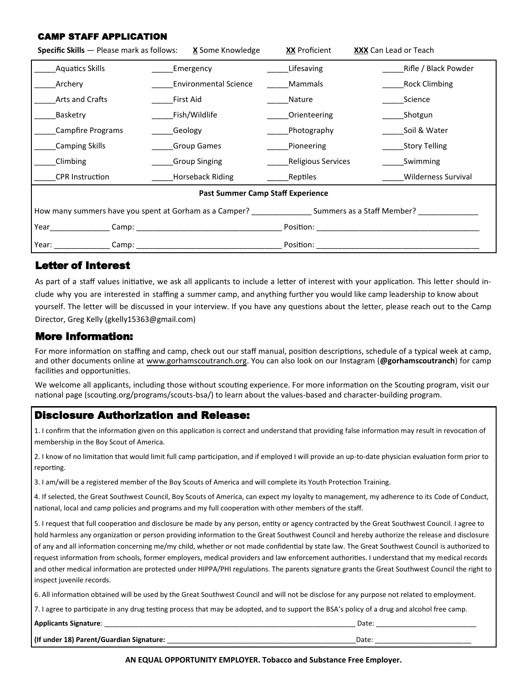#### CAMP STAFF APPLICATION

| <b>Specific Skills</b> — Please mark as follows:                                                                     | <b>X</b> Some Knowledge      | <b>XX</b> Proficient | <b>XXX</b> Can Lead or Teach |
|----------------------------------------------------------------------------------------------------------------------|------------------------------|----------------------|------------------------------|
| <b>Aquatics Skills</b>                                                                                               | Emergency                    | Lifesaving           | Rifle / Black Powder         |
| Archery                                                                                                              | <b>Environmental Science</b> | Mammals              | <b>Rock Climbing</b>         |
| Arts and Crafts                                                                                                      | First Aid                    | Nature               | Science                      |
| Basketry                                                                                                             | Fish/Wildlife                | Orienteering         | Shotgun                      |
| Campfire Programs                                                                                                    | Geology                      | Photography          | Soil & Water                 |
| <b>Camping Skills</b>                                                                                                | <b>Group Games</b>           | Pioneering           | _Story Telling               |
| Climbing                                                                                                             | <b>Group Singing</b>         | Religious Services   | Swimming                     |
| <b>CPR</b> Instruction                                                                                               | Horseback Riding             | Reptiles             | Wilderness Survival          |
| <b>Past Summer Camp Staff Experience</b>                                                                             |                              |                      |                              |
| How many summers have you spent at Gorham as a Camper? _____________________ Summers as a Staff Member? ____________ |                              |                      |                              |
| Year_<br>Camp:                                                                                                       |                              | Position:            |                              |
| Year: $_{-}$                                                                                                         |                              | Position:            |                              |

#### Letter of Interest

As part of a staff values initiative, we ask all applicants to include a letter of interest with your application. This letter should include why you are interested in staffing a summer camp, and anything further you would like camp leadership to know about yourself. The letter will be discussed in your interview. If you have any questions about the letter, please reach out to the Camp Director, Greg Kelly (gkelly15363@gmail.com)

#### More Information:

For more information on staffing and camp, check out our staff manual, position descriptions, schedule of a typical week at camp, and other documents online at www.gorhamscoutranch.org. You can also look on our Instagram (**@gorhamscoutranch**) for camp facilities and opportunities.

We welcome all applicants, including those without scouting experience. For more information on the Scouting program, visit our national page (scouting.org/programs/scouts-bsa/) to learn about the values-based and character-building program.

### Disclosure Authorization and Release:

1. I confirm that the information given on this application is correct and understand that providing false information may result in revocation of membership in the Boy Scout of America.

2. I know of no limitation that would limit full camp participation, and if employed I will provide an up-to-date physician evaluation form prior to reporting.

3. I am/will be a registered member of the Boy Scouts of America and will complete its Youth Protection Training.

4. If selected, the Great Southwest Council, Boy Scouts of America, can expect my loyalty to management, my adherence to its Code of Conduct, national, local and camp policies and programs and my full cooperation with other members of the staff.

5. I request that full cooperation and disclosure be made by any person, entity or agency contracted by the Great Southwest Council. I agree to hold harmless any organization or person providing information to the Great Southwest Council and hereby authorize the release and disclosure of any and all information concerning me/my child, whether or not made confidential by state law. The Great Southwest Council is authorized to request information from schools, former employers, medical providers and law enforcement authorities. I understand that my medical records and other medical information are protected under HIPPA/PHI regulations. The parents signature grants the Great Southwest Council the right to inspect juvenile records.

6. All information obtained will be used by the Great Southwest Council and will not be disclose for any purpose not related to employment.

7. I agree to participate in any drug testing process that may be adopted, and to support the BSA's policy of a drug and alcohol free camp.

| <b>Applicants Signature:</b> | Date |  |
|------------------------------|------|--|
| . .                          |      |  |

| (If under 18) Parent/Guardian Signature: | Date |
|------------------------------------------|------|

**AN EQUAL OPPORTUNITY EMPLOYER. Tobacco and Substance Free Employer.**